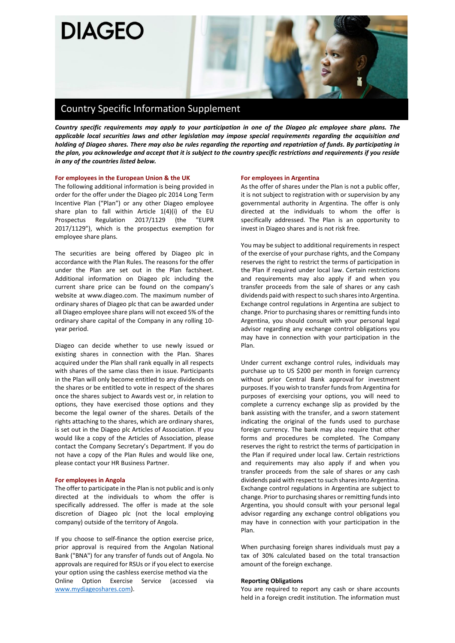

# Country Specific Information Supplement

*Country specific requirements may apply to your participation in one of the Diageo plc employee share plans. The applicable local securities laws and other legislation may impose special requirements regarding the acquisition and holding of Diageo shares. There may also be rules regarding the reporting and repatriation of funds. By participating in the plan, you acknowledge and accept that it is subject to the country specific restrictions and requirements if you reside in any of the countries listed below.*

# **For employees in the European Union & the UK**

The following additional information is being provided in order for the offer under the Diageo plc 2014 Long Term Incentive Plan ("Plan") or any other Diageo employee share plan to fall within Article 1(4)(i) of the EU Prospectus Regulation 2017/1129 (the "EUPR 2017/1129"), which is the prospectus exemption for employee share plans.

The securities are being offered by Diageo plc in accordance with the Plan Rules. The reasons for the offer under the Plan are set out in the Plan factsheet. Additional information on Diageo plc including the current share price can be found on the company's website at www.diageo.com. The maximum number of ordinary shares of Diageo plc that can be awarded under all Diageo employee share plans will not exceed 5% of the ordinary share capital of the Company in any rolling 10 year period.

Diageo can decide whether to use newly issued or existing shares in connection with the Plan. Shares acquired under the Plan shall rank equally in all respects with shares of the same class then in issue. Participants in the Plan will only become entitled to any dividends on the shares or be entitled to vote in respect of the shares once the shares subject to Awards vest or, in relation to options, they have exercised those options and they become the legal owner of the shares. Details of the rights attaching to the shares, which are ordinary shares, is set out in the Diageo plc Articles of Association. If you would like a copy of the Articles of Association, please contact the Company Secretary's Department. If you do not have a copy of the Plan Rules and would like one, please contact your HR Business Partner.

### **For employees in Angola**

The offer to participate in the Plan is not public and is only directed at the individuals to whom the offer is specifically addressed. The offer is made at the sole discretion of Diageo plc (not the local employing company) outside of the territory of Angola.

If you choose to self-finance the option exercise price, prior approval is required from the Angolan National Bank ("BNA") for any transfer of funds out of Angola. No approvals are required for RSUs or if you elect to exercise your option using the cashless exercise method via the Online Option Exercise Service (accessed [www.mydiageoshares.com\)](http://www.mydiageoshares.com/).

#### **For employees in Argentina**

As the offer of shares under the Plan is not a public offer, it is not subject to registration with or supervision by any governmental authority in Argentina. The offer is only directed at the individuals to whom the offer is specifically addressed. The Plan is an opportunity to invest in Diageo shares and is not risk free.

You may be subject to additional requirements in respect of the exercise of your purchase rights, and the Company reserves the right to restrict the terms of participation in the Plan if required under local law. Certain restrictions and requirements may also apply if and when you transfer proceeds from the sale of shares or any cash dividends paid with respect to such shares into Argentina. Exchange control regulations in Argentina are subject to change. Prior to purchasing shares or remitting funds into Argentina, you should consult with your personal legal advisor regarding any exchange control obligations you may have in connection with your participation in the Plan.

Under current exchange control rules, individuals may purchase up to US \$200 per month in foreign currency without prior Central Bank approval for investment purposes. If you wish to transfer funds from Argentina for purposes of exercising your options, you will need to complete a currency exchange slip as provided by the bank assisting with the transfer, and a sworn statement indicating the original of the funds used to purchase foreign currency. The bank may also require that other forms and procedures be completed. The Company reserves the right to restrict the terms of participation in the Plan if required under local law. Certain restrictions and requirements may also apply if and when you transfer proceeds from the sale of shares or any cash dividends paid with respect to such shares into Argentina. Exchange control regulations in Argentina are subject to change. Prior to purchasing shares or remitting funds into Argentina, you should consult with your personal legal advisor regarding any exchange control obligations you may have in connection with your participation in the Plan.

When purchasing foreign shares individuals must pay a tax of 30% calculated based on the total transaction amount of the foreign exchange.

# **Reporting Obligations**

You are required to report any cash or share accounts held in a foreign credit institution. The information must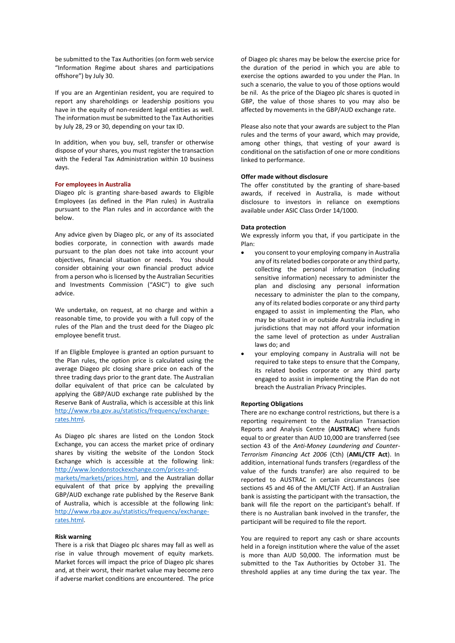be submitted to the Tax Authorities (on form web service "Information Regime about shares and participations offshore") by July 30.

If you are an Argentinian resident, you are required to report any shareholdings or leadership positions you have in the equity of non-resident legal entities as well. The information must be submitted to the Tax Authorities by July 28, 29 or 30, depending on your tax ID.

In addition, when you buy, sell, transfer or otherwise dispose of your shares, you must register the transaction with the Federal Tax Administration within 10 business days.

# **For employees in Australia**

Diageo plc is granting share-based awards to Eligible Employees (as defined in the Plan rules) in Australia pursuant to the Plan rules and in accordance with the below.

Any advice given by Diageo plc, or any of its associated bodies corporate, in connection with awards made pursuant to the plan does not take into account your objectives, financial situation or needs. You should consider obtaining your own financial product advice from a person who is licensed by the Australian Securities and Investments Commission ("ASIC") to give such advice.

We undertake, on request, at no charge and within a reasonable time, to provide you with a full copy of the rules of the Plan and the trust deed for the Diageo plc employee benefit trust.

If an Eligible Employee is granted an option pursuant to the Plan rules, the option price is calculated using the average Diageo plc closing share price on each of the three trading days prior to the grant date. The Australian dollar equivalent of that price can be calculated by applying the GBP/AUD exchange rate published by the Reserve Bank of Australia, which is accessible at this link [http://www.rba.gov.au/statistics/frequency/exchange](http://www.rba.gov.au/statistics/frequency/exchange-rates.html)[rates.html.](http://www.rba.gov.au/statistics/frequency/exchange-rates.html) 

As Diageo plc shares are listed on the London Stock Exchange, you can access the market price of ordinary shares by visiting the website of the London Stock Exchange which is accessible at the following link: [http://www.londonstockexchange.com/prices-and-](http://www.londonstockexchange.com/prices-and-markets/markets/prices.html)

[markets/markets/prices.html,](http://www.londonstockexchange.com/prices-and-markets/markets/prices.html) and the Australian dollar equivalent of that price by applying the prevailing GBP/AUD exchange rate published by the Reserve Bank of Australia, which is accessible at the following link: [http://www.rba.gov.au/statistics/frequency/exchange](http://www.rba.gov.au/statistics/frequency/exchange-rates.html)[rates.html.](http://www.rba.gov.au/statistics/frequency/exchange-rates.html) 

### **Risk warning**

There is a risk that Diageo plc shares may fall as well as rise in value through movement of equity markets. Market forces will impact the price of Diageo plc shares and, at their worst, their market value may become zero if adverse market conditions are encountered. The price

of Diageo plc shares may be below the exercise price for the duration of the period in which you are able to exercise the options awarded to you under the Plan. In such a scenario, the value to you of those options would be nil. As the price of the Diageo plc shares is quoted in GBP, the value of those shares to you may also be affected by movements in the GBP/AUD exchange rate.

Please also note that your awards are subject to the Plan rules and the terms of your award, which may provide, among other things, that vesting of your award is conditional on the satisfaction of one or more conditions linked to performance.

### **Offer made without disclosure**

The offer constituted by the granting of share-based awards, if received in Australia, is made without disclosure to investors in reliance on exemptions available under ASIC Class Order 14/1000.

### **Data protection**

We expressly inform you that, if you participate in the Plan:

- you consent to your employing company in Australia any of its related bodies corporate or any third party, collecting the personal information (including sensitive information) necessary to administer the plan and disclosing any personal information necessary to administer the plan to the company, any of its related bodies corporate or any third party engaged to assist in implementing the Plan, who may be situated in or outside Australia including in jurisdictions that may not afford your information the same level of protection as under Australian laws do; and
- your employing company in Australia will not be required to take steps to ensure that the Company, its related bodies corporate or any third party engaged to assist in implementing the Plan do not breach the Australian Privacy Principles.

# **Reporting Obligations**

There are no exchange control restrictions, but there is a reporting requirement to the Australian Transaction Reports and Analysis Centre (**AUSTRAC**) where funds equal to or greater than AUD 10,000 are transferred (see section 43 of the *Anti-Money Laundering and Counter-Terrorism Financing Act 2006* (Cth) (**AML/CTF Act**). In addition, international funds transfers (regardless of the value of the funds transfer) are also required to be reported to AUSTRAC in certain circumstances (see sections 45 and 46 of the AML/CTF Act). If an Australian bank is assisting the participant with the transaction, the bank will file the report on the participant's behalf. If there is no Australian bank involved in the transfer, the participant will be required to file the report.

You are required to report any cash or share accounts held in a foreign institution where the value of the asset is more than AUD 50,000. The information must be submitted to the Tax Authorities by October 31. The threshold applies at any time during the tax year. The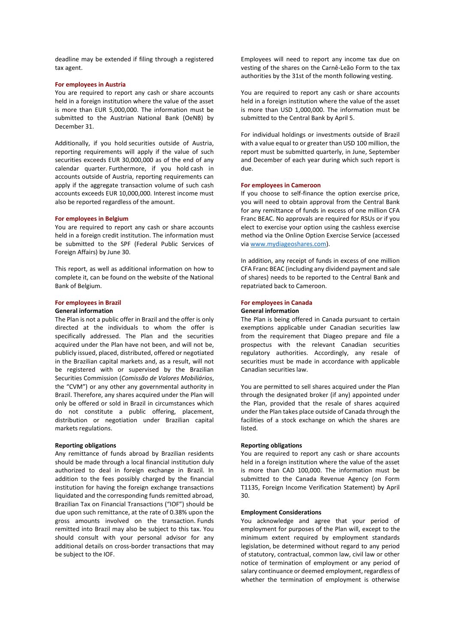deadline may be extended if filing through a registered tax agent.

### **For employees in Austria**

You are required to report any cash or share accounts held in a foreign institution where the value of the asset is more than EUR 5,000,000. The information must be submitted to the Austrian National Bank (OeNB) by December 31.

Additionally, if you hold securities outside of Austria, reporting requirements will apply if the value of such securities exceeds EUR 30,000,000 as of the end of any calendar quarter. Furthermore, if you hold cash in accounts outside of Austria, reporting requirements can apply if the aggregate transaction volume of such cash accounts exceeds EUR 10,000,000. Interest income must also be reported regardless of the amount.

### **For employees in Belgium**

You are required to report any cash or share accounts held in a foreign credit institution. The information must be submitted to the SPF (Federal Public Services of Foreign Affairs) by June 30.

This report, as well as additional information on how to complete it, can be found on the website of the National Bank of Belgium.

# **For employees in Brazil**

### **General information**

The Plan is not a public offer in Brazil and the offer is only directed at the individuals to whom the offer is specifically addressed. The Plan and the securities acquired under the Plan have not been, and will not be, publicly issued, placed, distributed, offered or negotiated in the Brazilian capital markets and, as a result, will not be registered with or supervised by the Brazilian Securities Commission (*Comissão de Valores Mobiliários*, the "CVM") or any other any governmental authority in Brazil. Therefore, any shares acquired under the Plan will only be offered or sold in Brazil in circumstances which do not constitute a public offering, placement, distribution or negotiation under Brazilian capital markets regulations.

# **Reporting obligations**

Any remittance of funds abroad by Brazilian residents should be made through a local financial institution duly authorized to deal in foreign exchange in Brazil. In addition to the fees possibly charged by the financial institution for having the foreign exchange transactions liquidated and the corresponding funds remitted abroad, Brazilian Tax on Financial Transactions ("IOF") should be due upon such remittance, at the rate of 0.38% upon the gross amounts involved on the transaction. Funds remitted into Brazil may also be subject to this tax. You should consult with your personal advisor for any additional details on cross-border transactions that may be subject to the IOF.

Employees will need to report any income tax due on vesting of the shares on the Carnê-Leão Form to the tax authorities by the 31st of the month following vesting.

You are required to report any cash or share accounts held in a foreign institution where the value of the asset is more than USD 1,000,000. The information must be submitted to the Central Bank by April 5.

For individual holdings or investments outside of Brazil with a value equal to or greater than USD 100 million, the report must be submitted quarterly, in June, September and December of each year during which such report is due.

### **For employees in Cameroon**

If you choose to self-finance the option exercise price, you will need to obtain approval from the Central Bank for any remittance of funds in excess of one million CFA Franc BEAC. No approvals are required for RSUs or if you elect to exercise your option using the cashless exercise method via the Online Option Exercise Service (accessed via [www.mydiageoshares.com\)](http://www.mydiageoshares.com/).

In addition, any receipt of funds in excess of one million CFA Franc BEAC (including any dividend payment and sale of shares) needs to be reported to the Central Bank and repatriated back to Cameroon.

### **For employees in Canada**

### **General information**

The Plan is being offered in Canada pursuant to certain exemptions applicable under Canadian securities law from the requirement that Diageo prepare and file a prospectus with the relevant Canadian securities regulatory authorities. Accordingly, any resale of securities must be made in accordance with applicable Canadian securities law.

You are permitted to sell shares acquired under the Plan through the designated broker (if any) appointed under the Plan, provided that the resale of shares acquired under the Plan takes place outside of Canada through the facilities of a stock exchange on which the shares are listed.

# **Reporting obligations**

You are required to report any cash or share accounts held in a foreign institution where the value of the asset is more than CAD 100,000. The information must be submitted to the Canada Revenue Agency (on Form T1135, Foreign Income Verification Statement) by April 30.

# **Employment Considerations**

You acknowledge and agree that your period of employment for purposes of the Plan will, except to the minimum extent required by employment standards legislation, be determined without regard to any period of statutory, contractual, common law, civil law or other notice of termination of employment or any period of salary continuance or deemed employment, regardless of whether the termination of employment is otherwise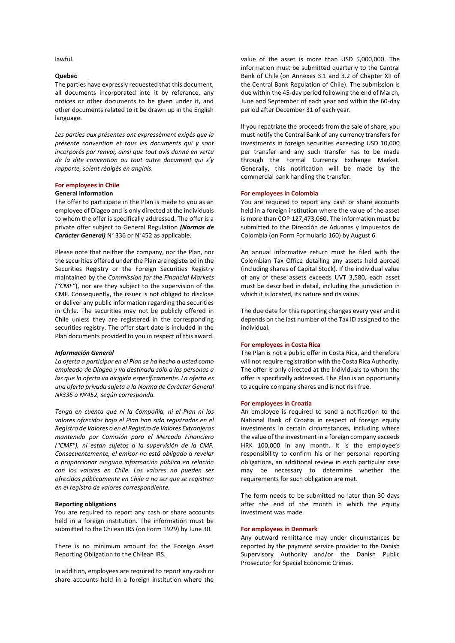lawful.

# **Quebec**

The parties have expressly requested that this document, all documents incorporated into it by reference, any notices or other documents to be given under it, and other documents related to it be drawn up in the English language.

*Les parties aux présentes ont expressément exigés que la présente convention et tous les documents qui y sont incorporés par renvoi, ainsi que tout avis donné en vertu de la dite convention ou tout autre document qui s'y rapporte, soient rédigés en anglais.*

# **For employees in Chile**

### **General information**

The offer to participate in the Plan is made to you as an employee of Diageo and is only directed at the individuals to whom the offer is specifically addressed. The offer is a private offer subject to General Regulation *(Normas de Carácter General)* N° 336 or N°452 as applicable.

Please note that neither the company, nor the Plan, nor the securities offered under the Plan are registered in the Securities Registry or the Foreign Securities Registry maintained by the *Commission for the Financial Markets ("CMF"*), nor are they subject to the supervision of the CMF. Consequently, the issuer is not obliged to disclose or deliver any public information regarding the securities in Chile. The securities may not be publicly offered in Chile unless they are registered in the corresponding securities registry. The offer start date is included in the Plan documents provided to you in respect of this award.

#### *Información General*

*La oferta a participar en el Plan se ha hecho a usted como empleado de Diageo y va destinada sólo a las personas a las que la oferta va dirigida específicamente. La oferta es una oferta privada sujeta a la Norma de Carácter General Nº336 o Nº452, según corresponda.*

*Tenga en cuenta que ni la Compañía, ni el Plan ni los valores ofrecidos bajo el Plan han sido registrados en el Registro de Valores o en el Registro de Valores Extranjeros mantenido por Comisión para el Mercado Financiero ("CMF"), ni están sujetos a la supervisión de la CMF. Consecuentemente, el emisor no está obligado a revelar o proporcionar ninguna información pública en relación con los valores en Chile. Los valores no pueden ser ofrecidos públicamente en Chile a no ser que se registren en el registro de valores correspondiente.* 

### **Reporting obligations**

You are required to report any cash or share accounts held in a foreign institution. The information must be submitted to the Chilean IRS (on Form 1929) by June 30.

There is no minimum amount for the Foreign Asset Reporting Obligation to the Chilean IRS.

In addition, employees are required to report any cash or share accounts held in a foreign institution where the

value of the asset is more than USD 5,000,000. The information must be submitted quarterly to the Central Bank of Chile (on Annexes 3.1 and 3.2 of Chapter XII of the Central Bank Regulation of Chile). The submission is due within the 45-day period following the end of March, June and September of each year and within the 60-day period after December 31 of each year.

If you repatriate the proceeds from the sale of share, you must notify the Central Bank of any currency transfers for investments in foreign securities exceeding USD 10,000 per transfer and any such transfer has to be made through the Formal Currency Exchange Market. Generally, this notification will be made by the commercial bank handling the transfer.

#### **For employees in Colombia**

You are required to report any cash or share accounts held in a foreign institution where the value of the asset is more than COP 127,473,060. The information must be submitted to the Dirección de Aduanas y Impuestos de Colombia (on Form Formulario 160) by August 6.

An annual informative return must be filed with the Colombian Tax Office detailing any assets held abroad (including shares of Capital Stock). If the individual value of any of these assets exceeds UVT 3,580, each asset must be described in detail, including the jurisdiction in which it is located, its nature and its value.

The due date for this reporting changes every year and it depends on the last number of the Tax ID assigned to the individual.

#### **For employees in Costa Rica**

The Plan is not a public offer in Costa Rica, and therefore will not require registration with the Costa Rica Authority. The offer is only directed at the individuals to whom the offer is specifically addressed. The Plan is an opportunity to acquire company shares and is not risk free.

### **For employees in Croatia**

An employee is required to send a notification to the National Bank of Croatia in respect of foreign equity investments in certain circumstances, including where the value of the investment in a foreign company exceeds HRK 100,000 in any month. It is the employee's responsibility to confirm his or her personal reporting obligations, an additional review in each particular case may be necessary to determine whether the requirements for such obligation are met.

The form needs to be submitted no later than 30 days after the end of the month in which the equity investment was made.

# **For employees in Denmark**

Any outward remittance may under circumstances be reported by the payment service provider to the Danish Supervisory Authority and/or the Danish Public Prosecutor for Special Economic Crimes.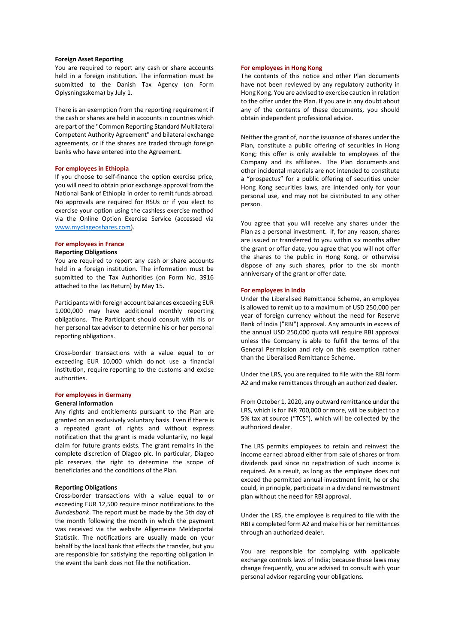# **Foreign Asset Reporting**

You are required to report any cash or share accounts held in a foreign institution. The information must be submitted to the Danish Tax Agency (on Form Oplysningsskema) by July 1.

There is an exemption from the reporting requirement if the cash or shares are held in accounts in countries which are part of the "Common Reporting Standard Multilateral Competent Authority Agreement" and bilateral exchange agreements, or if the shares are traded through foreign banks who have entered into the Agreement.

#### **For employees in Ethiopia**

If you choose to self-finance the option exercise price, you will need to obtain prior exchange approval from the National Bank of Ethiopia in order to remit funds abroad. No approvals are required for RSUs or if you elect to exercise your option using the cashless exercise method via the Online Option Exercise Service (accessed via [www.mydiageoshares.com\)](http://www.mydiageoshares.com/).

# **For employees in France**

# **Reporting Obligations**

You are required to report any cash or share accounts held in a foreign institution. The information must be submitted to the Tax Authorities (on Form No. 3916 attached to the Tax Return) by May 15.

Participants with foreign account balances exceeding EUR 1,000,000 may have additional monthly reporting obligations. The Participant should consult with his or her personal tax advisor to determine his or her personal reporting obligations.

Cross-border transactions with a value equal to or exceeding EUR 10,000 which do not use a financial institution, require reporting to the customs and excise authorities.

# **For employees in Germany**

#### **General information**

Any rights and entitlements pursuant to the Plan are granted on an exclusively voluntary basis. Even if there is a repeated grant of rights and without express notification that the grant is made voluntarily, no legal claim for future grants exists. The grant remains in the complete discretion of Diageo plc. In particular, Diageo plc reserves the right to determine the scope of beneficiaries and the conditions of the Plan.

# **Reporting Obligations**

Cross-border transactions with a value equal to or exceeding EUR 12,500 require minor notifications to the *Bundesbank*. The report must be made by the 5th day of the month following the month in which the payment was received via the website Allgemeine Meldeportal Statistik. The notifications are usually made on your behalf by the local bank that effects the transfer, but you are responsible for satisfying the reporting obligation in the event the bank does not file the notification.

#### **For employees in Hong Kong**

The contents of this notice and other Plan documents have not been reviewed by any regulatory authority in Hong Kong. You are advised to exercise caution in relation to the offer under the Plan. If you are in any doubt about any of the contents of these documents, you should obtain independent professional advice.

Neither the grant of, nor the issuance of shares under the Plan, constitute a public offering of securities in Hong Kong; this offer is only available to employees of the Company and its affiliates. The Plan documents and other incidental materials are not intended to constitute a "prospectus" for a public offering of securities under Hong Kong securities laws, are intended only for your personal use, and may not be distributed to any other person.

You agree that you will receive any shares under the Plan as a personal investment. If, for any reason, shares are issued or transferred to you within six months after the grant or offer date, you agree that you will not offer the shares to the public in Hong Kong, or otherwise dispose of any such shares, prior to the six month anniversary of the grant or offer date.

### **For employees in India**

Under the Liberalised Remittance Scheme, an employee is allowed to remit up to a maximum of USD 250,000 per year of foreign currency without the need for Reserve Bank of India ("RBI") approval. Any amounts in excess of the annual USD 250,000 quota will require RBI approval unless the Company is able to fulfill the terms of the General Permission and rely on this exemption rather than the Liberalised Remittance Scheme.

Under the LRS, you are required to file with the RBI form A2 and make remittances through an authorized dealer.

From October 1, 2020, any outward remittance under the LRS, which is for INR 700,000 or more, will be subject to a 5% tax at source ("TCS"), which will be collected by the authorized dealer.

The LRS permits employees to retain and reinvest the income earned abroad either from sale of shares or from dividends paid since no repatriation of such income is required. As a result, as long as the employee does not exceed the permitted annual investment limit, he or she could, in principle, participate in a dividend reinvestment plan without the need for RBI approval.

Under the LRS, the employee is required to file with the RBI a completed form A2 and make his or her remittances through an authorized dealer.

You are responsible for complying with applicable exchange controls laws of India; because these laws may change frequently, you are advised to consult with your personal advisor regarding your obligations.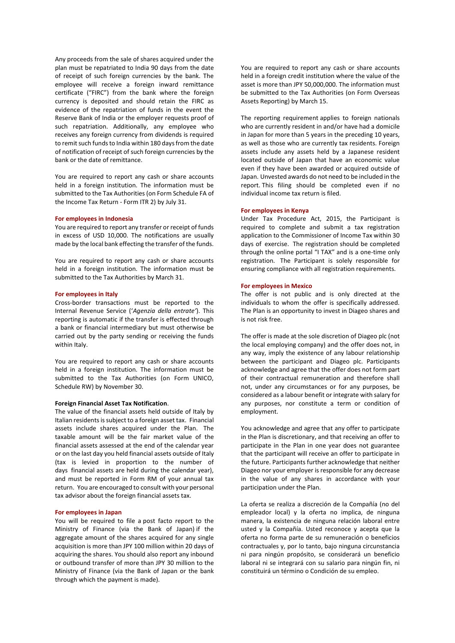Any proceeds from the sale of shares acquired under the plan must be repatriated to India 90 days from the date of receipt of such foreign currencies by the bank. The employee will receive a foreign inward remittance certificate ("FIRC") from the bank where the foreign currency is deposited and should retain the FIRC as evidence of the repatriation of funds in the event the Reserve Bank of India or the employer requests proof of such repatriation. Additionally, any employee who receives any foreign currency from dividends is required to remit such funds to India within 180 days from the date of notification of receipt of such foreign currencies by the bank or the date of remittance.

You are required to report any cash or share accounts held in a foreign institution. The information must be submitted to the Tax Authorities (on Form Schedule FA of the Income Tax Return - Form ITR 2) by July 31.

### **For employees in Indonesia**

You are required to report any transfer or receipt of funds in excess of USD 10,000. The notifications are usually made by the local bank effecting the transfer of the funds.

You are required to report any cash or share accounts held in a foreign institution. The information must be submitted to the Tax Authorities by March 31.

### **For employees in Italy**

Cross-border transactions must be reported to the Internal Revenue Service ('*Agenzia della entrate'*). This reporting is automatic if the transfer is effected through a bank or financial intermediary but must otherwise be carried out by the party sending or receiving the funds within Italy.

You are required to report any cash or share accounts held in a foreign institution. The information must be submitted to the Tax Authorities (on Form UNICO, Schedule RW) by November 30.

#### **Foreign Financial Asset Tax Notification**.

The value of the financial assets held outside of Italy by Italian residents is subject to a foreign asset tax. Financial assets include shares acquired under the Plan. The taxable amount will be the fair market value of the financial assets assessed at the end of the calendar year or on the last day you held financial assets outside of Italy (tax is levied in proportion to the number of days financial assets are held during the calendar year), and must be reported in Form RM of your annual tax return. You are encouraged to consult with your personal tax advisor about the foreign financial assets tax.

# **For employees in Japan**

You will be required to file a post facto report to the Ministry of Finance (via the Bank of Japan) if the aggregate amount of the shares acquired for any single acquisition is more than JPY 100 million within 20 days of acquiring the shares. You should also report any inbound or outbound transfer of more than JPY 30 million to the Ministry of Finance (via the Bank of Japan or the bank through which the payment is made).

You are required to report any cash or share accounts held in a foreign credit institution where the value of the asset is more than JPY 50,000,000. The information must be submitted to the Tax Authorities (on Form Overseas Assets Reporting) by March 15.

The reporting requirement applies to foreign nationals who are currently resident in and/or have had a domicile in Japan for more than 5 years in the preceding 10 years, as well as those who are currently tax residents. Foreign assets include any assets held by a Japanese resident located outside of Japan that have an economic value even if they have been awarded or acquired outside of Japan. Unvested awards do not need to be included in the report. This filing should be completed even if no individual income tax return is filed.

### **For employees in Kenya**

Under Tax Procedure Act, 2015, the Participant is required to complete and submit a tax registration application to the Commissioner of Income Tax within 30 days of exercise. The registration should be completed through the online portal "I TAX" and is a one-time only registration. The Participant is solely responsible for ensuring compliance with all registration requirements.

#### **For employees in Mexico**

The offer is not public and is only directed at the individuals to whom the offer is specifically addressed. The Plan is an opportunity to invest in Diageo shares and is not risk free.

The offer is made at the sole discretion of Diageo plc (not the local employing company) and the offer does not, in any way, imply the existence of any labour relationship between the participant and Diageo plc. Participants acknowledge and agree that the offer does not form part of their contractual remuneration and therefore shall not, under any circumstances or for any purposes, be considered as a labour benefit or integrate with salary for any purposes, nor constitute a term or condition of employment.

You acknowledge and agree that any offer to participate in the Plan is discretionary, and that receiving an offer to participate in the Plan in one year does not guarantee that the participant will receive an offer to participate in the future. Participants further acknowledge that neither Diageo nor your employer is responsible for any decrease in the value of any shares in accordance with your participation under the Plan.

La oferta se realiza a discreción de la Compañía (no del empleador local) y la oferta no implica, de ninguna manera, la existencia de ninguna relación laboral entre usted y la Compañía. Usted reconoce y acepta que la oferta no forma parte de su remuneración o beneficios contractuales y, por lo tanto, bajo ninguna circunstancia ni para ningún propósito, se considerará un beneficio laboral ni se integrará con su salario para ningún fin, ni constituirá un término o Condición de su empleo.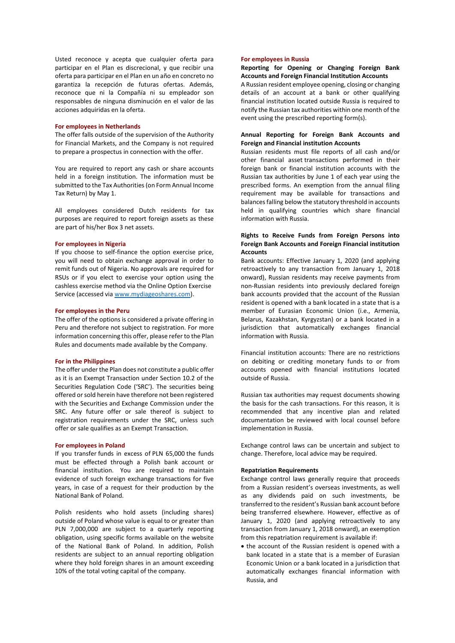Usted reconoce y acepta que cualquier oferta para participar en el Plan es discrecional, y que recibir una oferta para participar en el Plan en un año en concreto no garantiza la recepción de futuras ofertas. Además, reconoce que ni la Compañía ni su empleador son responsables de ninguna disminución en el valor de las acciones adquiridas en la oferta.

# **For employees in Netherlands**

The offer falls outside of the supervision of the Authority for Financial Markets, and the Company is not required to prepare a prospectus in connection with the offer.

You are required to report any cash or share accounts held in a foreign institution. The information must be submitted to the Tax Authorities (on Form Annual Income Tax Return) by May 1.

All employees considered Dutch residents for tax purposes are required to report foreign assets as these are part of his/her Box 3 net assets.

### **For employees in Nigeria**

If you choose to self-finance the option exercise price, you will need to obtain exchange approval in order to remit funds out of Nigeria. No approvals are required for RSUs or if you elect to exercise your option using the cashless exercise method via the Online Option Exercise Service (accessed via [www.mydiageoshares.com\)](http://www.mydiageoshares.com/).

### **For employees in the Peru**

The offer of the options is considered a private offering in Peru and therefore not subject to registration. For more information concerning this offer, please refer to the Plan Rules and documents made available by the Company.

### **For in the Philippines**

The offer under the Plan does not constitute a public offer as it is an Exempt Transaction under Section 10.2 of the Securities Regulation Code ('SRC'). The securities being offered or sold herein have therefore not been registered with the Securities and Exchange Commission under the SRC. Any future offer or sale thereof is subject to registration requirements under the SRC, unless such offer or sale qualifies as an Exempt Transaction.

# **For employees in Poland**

If you transfer funds in excess of PLN 65,000 the funds must be effected through a Polish bank account or financial institution. You are required to maintain evidence of such foreign exchange transactions for five years, in case of a request for their production by the National Bank of Poland.

Polish residents who hold assets (including shares) outside of Poland whose value is equal to or greater than PLN 7,000,000 are subject to a quarterly reporting obligation, using specific forms available on the website of the National Bank of Poland. In addition, Polish residents are subject to an annual reporting obligation where they hold foreign shares in an amount exceeding 10% of the total voting capital of the company.

### **For employees in Russia**

# **Reporting for Opening or Changing Foreign Bank Accounts and Foreign Financial Institution Accounts**

A Russian resident employee opening, closing or changing details of an account at a bank or other qualifying financial institution located outside Russia is required to notify the Russian tax authorities within one month of the event using the prescribed reporting form(s).

# **Annual Reporting for Foreign Bank Accounts and Foreign and Financial institution Accounts**

Russian residents must file reports of all cash and/or other financial asset transactions performed in their foreign bank or financial institution accounts with the Russian tax authorities by June 1 of each year using the prescribed forms. An exemption from the annual filing requirement may be available for transactions and balances falling below the statutory threshold in accounts held in qualifying countries which share financial information with Russia.

# **Rights to Receive Funds from Foreign Persons into Foreign Bank Accounts and Foreign Financial institution Accounts**

Bank accounts: Effective January 1, 2020 (and applying retroactively to any transaction from January 1, 2018 onward), Russian residents may receive payments from non-Russian residents into previously declared foreign bank accounts provided that the account of the Russian resident is opened with a bank located in a state that is a member of Eurasian Economic Union (i.e., Armenia, Belarus, Kazakhstan, Kyrgyzstan) or a bank located in a jurisdiction that automatically exchanges financial information with Russia.

Financial institution accounts: There are no restrictions on debiting or crediting monetary funds to or from accounts opened with financial institutions located outside of Russia.

Russian tax authorities may request documents showing the basis for the cash transactions. For this reason, it is recommended that any incentive plan and related documentation be reviewed with local counsel before implementation in Russia.

Exchange control laws can be uncertain and subject to change. Therefore, local advice may be required.

# **Repatriation Requirements**

Exchange control laws generally require that proceeds from a Russian resident's overseas investments, as well as any dividends paid on such investments, be transferred to the resident's Russian bank account before being transferred elsewhere. However, effective as of January 1, 2020 (and applying retroactively to any transaction from January 1, 2018 onward), an exemption from this repatriation requirement is available if:

• the account of the Russian resident is opened with a bank located in a state that is a member of Eurasian Economic Union or a bank located in a jurisdiction that automatically exchanges financial information with Russia, and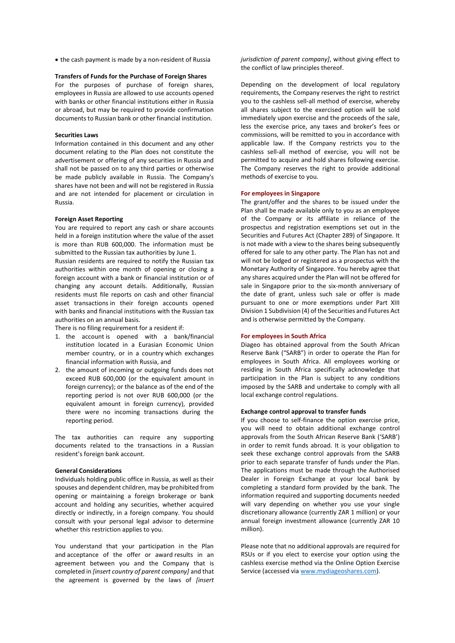• the cash payment is made by a non-resident of Russia

#### **Transfers of Funds for the Purchase of Foreign Shares**

For the purposes of purchase of foreign shares, employees in Russia are allowed to use accounts opened with banks or other financial institutions either in Russia or abroad, but may be required to provide confirmation documents to Russian bank or other financial institution.

### **Securities Laws**

Information contained in this document and any other document relating to the Plan does not constitute the advertisement or offering of any securities in Russia and shall not be passed on to any third parties or otherwise be made publicly available in Russia. The Company's shares have not been and will not be registered in Russia and are not intended for placement or circulation in Russia.

#### **Foreign Asset Reporting**

You are required to report any cash or share accounts held in a foreign institution where the value of the asset is more than RUB 600,000. The information must be submitted to the Russian tax authorities by June 1.

Russian residents are required to notify the Russian tax authorities within one month of opening or closing a foreign account with a bank or financial institution or of changing any account details. Additionally, Russian residents must file reports on cash and other financial asset transactions in their foreign accounts opened with banks and financial institutions with the Russian tax authorities on an annual basis.

There is no filing requirement for a resident if:

- 1. the account is opened with a bank/financial institution located in a Eurasian Economic Union member country, or in a country which exchanges financial information with Russia, and
- 2. the amount of incoming or outgoing funds does not exceed RUB 600,000 (or the equivalent amount in foreign currency); or the balance as of the end of the reporting period is not over RUB 600,000 (or the equivalent amount in foreign currency), provided there were no incoming transactions during the reporting period.

The tax authorities can require any supporting documents related to the transactions in a Russian resident's foreign bank account.

# **General Considerations**

Individuals holding public office in Russia, as well as their spouses and dependent children, may be prohibited from opening or maintaining a foreign brokerage or bank account and holding any securities, whether acquired directly or indirectly, in a foreign company. You should consult with your personal legal advisor to determine whether this restriction applies to you.

You understand that your participation in the Plan and acceptance of the offer or award results in an agreement between you and the Company that is completed in *[insert country of parent company]* and that the agreement is governed by the laws of *[insert*  *jurisdiction of parent company]*, without giving effect to the conflict of law principles thereof.

Depending on the development of local regulatory requirements, the Company reserves the right to restrict you to the cashless sell-all method of exercise, whereby all shares subject to the exercised option will be sold immediately upon exercise and the proceeds of the sale, less the exercise price, any taxes and broker's fees or commissions, will be remitted to you in accordance with applicable law. If the Company restricts you to the cashless sell-all method of exercise, you will not be permitted to acquire and hold shares following exercise. The Company reserves the right to provide additional methods of exercise to you.

# **For employees in Singapore**

The grant/offer and the shares to be issued under the Plan shall be made available only to you as an employee of the Company or its affiliate in reliance of the prospectus and registration exemptions set out in the Securities and Futures Act (Chapter 289) of Singapore. It is not made with a view to the shares being subsequently offered for sale to any other party. The Plan has not and will not be lodged or registered as a prospectus with the Monetary Authority of Singapore. You hereby agree that any shares acquired under the Plan will not be offered for sale in Singapore prior to the six-month anniversary of the date of grant, unless such sale or offer is made pursuant to one or more exemptions under Part XIII Division 1 Subdivision (4) of the Securities and Futures Act and is otherwise permitted by the Company.

### **For employees in South Africa**

Diageo has obtained approval from the South African Reserve Bank ("SARB") in order to operate the Plan for employees in South Africa. All employees working or residing in South Africa specifically acknowledge that participation in the Plan is subject to any conditions imposed by the SARB and undertake to comply with all local exchange control regulations.

### **Exchange control approval to transfer funds**

If you choose to self-finance the option exercise price, you will need to obtain additional exchange control approvals from the South African Reserve Bank ('SARB') in order to remit funds abroad. It is your obligation to seek these exchange control approvals from the SARB prior to each separate transfer of funds under the Plan. The applications must be made through the Authorised Dealer in Foreign Exchange at your local bank by completing a standard form provided by the bank. The information required and supporting documents needed will vary depending on whether you use your single discretionary allowance (currently ZAR 1 million) or your annual foreign investment allowance (currently ZAR 10 million).

Please note that no additional approvals are required for RSUs or if you elect to exercise your option using the cashless exercise method via the Online Option Exercise Service (accessed via [www.mydiageoshares.com\)](http://www.mydiageoshares.com/).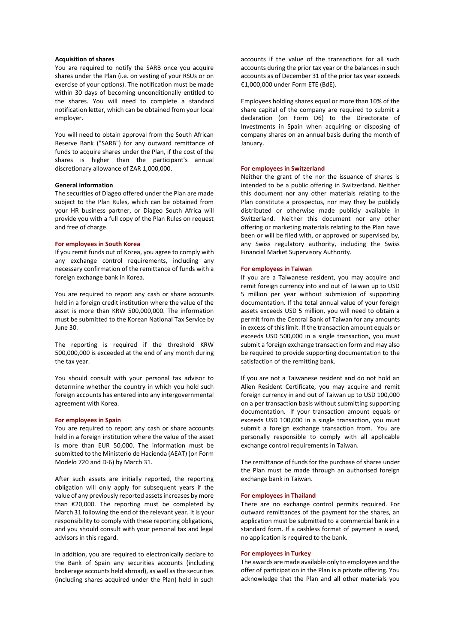# **Acquisition of shares**

You are required to notify the SARB once you acquire shares under the Plan (i.e. on vesting of your RSUs or on exercise of your options). The notification must be made within 30 days of becoming unconditionally entitled to the shares. You will need to complete a standard notification letter, which can be obtained from your local employer.

You will need to obtain approval from the South African Reserve Bank ("SARB") for any outward remittance of funds to acquire shares under the Plan, if the cost of the shares is higher than the participant's annual discretionary allowance of ZAR 1,000,000.

### **General information**

The securities of Diageo offered under the Plan are made subject to the Plan Rules, which can be obtained from your HR business partner, or Diageo South Africa will provide you with a full copy of the Plan Rules on request and free of charge.

#### **For employees in South Korea**

If you remit funds out of Korea, you agree to comply with any exchange control requirements, including any necessary confirmation of the remittance of funds with a foreign exchange bank in Korea.

You are required to report any cash or share accounts held in a foreign credit institution where the value of the asset is more than KRW 500,000,000. The information must be submitted to the Korean National Tax Service by June 30.

The reporting is required if the threshold KRW 500,000,000 is exceeded at the end of any month during the tax year.

You should consult with your personal tax advisor to determine whether the country in which you hold such foreign accounts has entered into any intergovernmental agreement with Korea.

### **For employees in Spain**

You are required to report any cash or share accounts held in a foreign institution where the value of the asset is more than EUR 50,000. The information must be submitted to the Ministerio de Hacienda (AEAT) (on Form Modelo 720 and D-6) by March 31.

After such assets are initially reported, the reporting obligation will only apply for subsequent years if the value of any previously reported assets increases by more than €20,000. The reporting must be completed by March 31 following the end of the relevant year. It is your responsibility to comply with these reporting obligations, and you should consult with your personal tax and legal advisors in this regard.

In addition, you are required to electronically declare to the Bank of Spain any securities accounts (including brokerage accounts held abroad), as well as the securities (including shares acquired under the Plan) held in such accounts if the value of the transactions for all such accounts during the prior tax year or the balances in such accounts as of December 31 of the prior tax year exceeds €1,000,000 under Form ETE (BdE).

Employees holding shares equal or more than 10% of the share capital of the company are required to submit a declaration (on Form D6) to the Directorate of Investments in Spain when acquiring or disposing of company shares on an annual basis during the month of January.

#### **For employees in Switzerland**

Neither the grant of the nor the issuance of shares is intended to be a public offering in Switzerland. Neither this document nor any other materials relating to the Plan constitute a prospectus, nor may they be publicly distributed or otherwise made publicly available in Switzerland. Neither this document nor any other offering or marketing materials relating to the Plan have been or will be filed with, or approved or supervised by, any Swiss regulatory authority, including the Swiss Financial Market Supervisory Authority.

#### **For employees in Taiwan**

If you are a Taiwanese resident, you may acquire and remit foreign currency into and out of Taiwan up to USD 5 million per year without submission of supporting documentation. If the total annual value of your foreign assets exceeds USD 5 million, you will need to obtain a permit from the Central Bank of Taiwan for any amounts in excess of this limit. If the transaction amount equals or exceeds USD 500,000 in a single transaction, you must submit a foreign exchange transaction form and may also be required to provide supporting documentation to the satisfaction of the remitting bank.

If you are not a Taiwanese resident and do not hold an Alien Resident Certificate, you may acquire and remit foreign currency in and out of Taiwan up to USD 100,000 on a per transaction basis without submitting supporting documentation. If your transaction amount equals or exceeds USD 100,000 in a single transaction, you must submit a foreign exchange transaction from. You are personally responsible to comply with all applicable exchange control requirements in Taiwan.

The remittance of funds for the purchase of shares under the Plan must be made through an authorised foreign exchange bank in Taiwan.

# **For employees in Thailand**

There are no exchange control permits required. For outward remittances of the payment for the shares, an application must be submitted to a commercial bank in a standard form. If a cashless format of payment is used, no application is required to the bank.

### **For employees in Turkey**

The awards are made available only to employees and the offer of participation in the Plan is a private offering. You acknowledge that the Plan and all other materials you